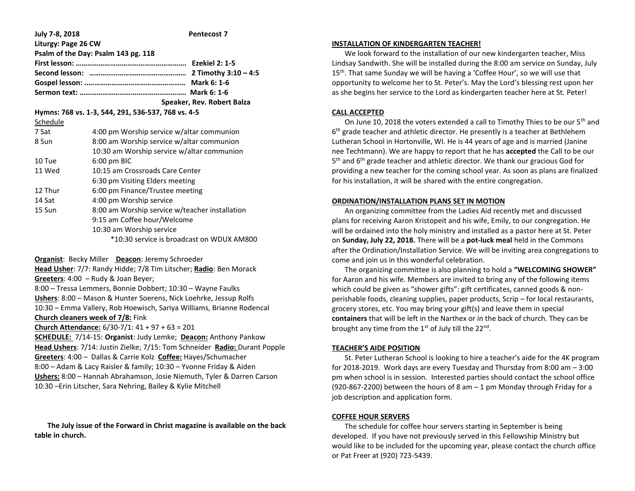| July 7-8, 2018                                     |                                                | <b>Pentecost 7</b>         |
|----------------------------------------------------|------------------------------------------------|----------------------------|
| Liturgy: Page 26 CW                                |                                                |                            |
| Psalm of the Day: Psalm 143 pg. 118                |                                                |                            |
|                                                    |                                                |                            |
|                                                    |                                                |                            |
|                                                    |                                                |                            |
|                                                    |                                                |                            |
|                                                    |                                                | Speaker, Rev. Robert Balza |
| Hymns: 768 vs. 1-3, 544, 291, 536-537, 768 vs. 4-5 |                                                |                            |
| Schedule                                           |                                                |                            |
| 7 Sat                                              | 4:00 pm Worship service w/altar communion      |                            |
| 8 Sun                                              | 8:00 am Worship service w/altar communion      |                            |
|                                                    | 10:30 am Worship service w/altar communion     |                            |
| 10 Tue                                             | $6:00$ pm BIC                                  |                            |
| 11 Wed                                             | 10:15 am Crossroads Care Center                |                            |
|                                                    | 6:30 pm Visiting Elders meeting                |                            |
| 12 Thur                                            | 6:00 pm Finance/Trustee meeting                |                            |
| 14 Sat                                             | 4:00 pm Worship service                        |                            |
| 15 Sun                                             | 8:00 am Worship service w/teacher installation |                            |
|                                                    | 9:15 am Coffee hour/Welcome                    |                            |
|                                                    | 10:30 am Worship service                       |                            |
|                                                    | *10:30 service is broadcast on WDUX AM800      |                            |

**Organist**: Becky Miller **Deacon**: Jeremy Schroeder

**Head Usher**: 7/7: Randy Hidde; 7/8 Tim Litscher; **Radio**: Ben Morack **Greeters**: 4:00 – Rudy & Joan Beyer; 8:00 – Tressa Lemmers, Bonnie Dobbert; 10:30 – Wayne Faulks **Ushers**: 8:00 – Mason & Hunter Soerens, Nick Loehrke, Jessup Rolfs 10:30 – Emma Vallery, Rob Hoewisch, Sariya Williams, Brianne Rodencal

## **Church cleaners week of 7/8:** Fink

**Church Attendance:** 6/30-7/1: 41 + 97 + 63 = 201

**SCHEDULE:** 7/14-15: **Organist**: Judy Lemke; **Deacon:** Anthony Pankow **Head Ushers**: 7/14: Justin Zielke; 7/15: Tom Schneider **Radio:** Durant Popple **Greeters**: 4:00 – Dallas & Carrie Kolz **Coffee:** Hayes/Schumacher 8:00 – Adam & Lacy Raisler & family; 10:30 – Yvonne Friday & Aiden **Ushers:** 8:00 – Hannah Abrahamson, Josie Niemuth, Tyler & Darren Carson 10:30 –Erin Litscher, Sara Nehring, Bailey & Kylie Mitchell

 **The July issue of the Forward in Christ magazine is available on the back table in church.**

### **INSTALLATION OF KINDERGARTEN TEACHER!**

 We look forward to the installation of our new kindergarten teacher, Miss Lindsay Sandwith. She will be installed during the 8:00 am service on Sunday, July 15<sup>th</sup>. That same Sunday we will be having a 'Coffee Hour', so we will use that opportunity to welcome her to St. Peter's. May the Lord's blessing rest upon her as she begins her service to the Lord as kindergarten teacher here at St. Peter!

# **CALL ACCEPTED**

On June 10, 2018 the voters extended a call to Timothy Thies to be our 5<sup>th</sup> and 6<sup>th</sup> grade teacher and athletic director. He presently is a teacher at Bethlehem Lutheran School in Hortonville, WI. He is 44 years of age and is married (Janine nee Techtmann). We are happy to report that he has **accepted** the Call to be our 5<sup>th</sup> and 6<sup>th</sup> grade teacher and athletic director. We thank our gracious God for providing a new teacher for the coming school year. As soon as plans are finalized for his installation, it will be shared with the entire congregation.

## **ORDINATION/INSTALLATION PLANS SET IN MOTION**

 An organizing committee from the Ladies Aid recently met and discussed plans for receiving Aaron Kristopeit and his wife, Emily, to our congregation. He will be ordained into the holy ministry and installed as a pastor here at St. Peter on **Sunday, July 22, 2018.** There will be a **pot-luck meal** held in the Commons after the Ordination/Installation Service. We will be inviting area congregations to come and join us in this wonderful celebration.

 The organizing committee is also planning to hold a **"WELCOMING SHOWER"**  for Aaron and his wife. Members are invited to bring any of the following items which could be given as "shower gifts": gift certificates, canned goods & nonperishable foods, cleaning supplies, paper products, Scrip – for local restaurants, grocery stores, etc. You may bring your gift(s) and leave them in special **containers** that will be left in the Narthex or in the back of church. They can be brought any time from the 1<sup>st</sup> of July till the 22<sup>nd</sup>.

## **TEACHER'S AIDE POSITION**

 St. Peter Lutheran School is looking to hire a teacher's aide for the 4K program for 2018-2019. Work days are every Tuesday and Thursday from 8:00 am – 3:00 pm when school is in session. Interested parties should contact the school office (920-867-2200) between the hours of 8 am  $-1$  pm Monday through Friday for a job description and application form.

## **COFFEE HOUR SERVERS**

 The schedule for coffee hour servers starting in September is being developed. If you have not previously served in this Fellowship Ministry but would like to be included for the upcoming year, please contact the church office or Pat Freer at (920) 723-5439.